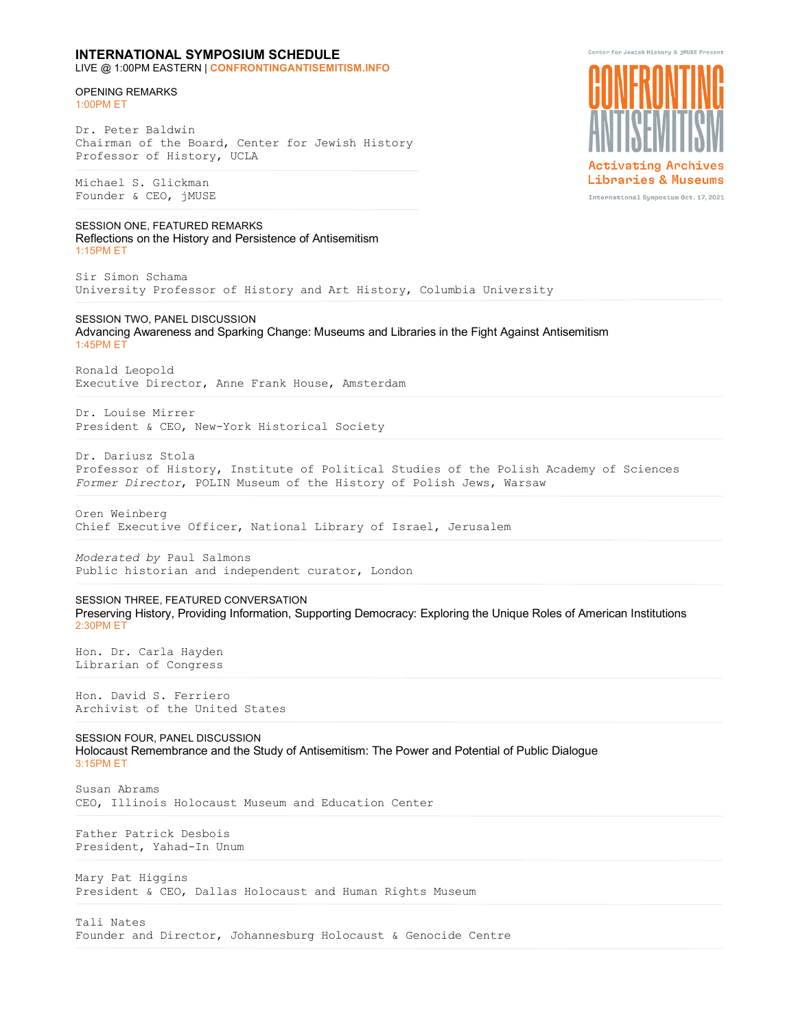## **INTERNATIONAL SYMPOSIUM SCHEDULE**

LIVE @ 1:00PM EASTERN | **CONFRONTINGANTISEMITISM.INFO**

## OPENING REMARKS 1:00PM ET

Dr. Peter Baldwin Chairman of the Board, Center for Jewish History Professor of History, UCLA

Michael S. Glickman Founder & CEO, jMUSE

SESSION ONE, FEATURED REMARKS Reflections on the History and Persistence of Antisemitism 1:15PM ET

Sir Simon Schama University Professor of History and Art History, Columbia University

## SESSION TWO, PANEL DISCUSSION

Advancing Awareness and Sparking Change: Museums and Libraries in the Fight Against Antisemitism 1:45PM ET

Ronald Leopold Executive Director, Anne Frank House, Amsterdam

Dr. Louise Mirrer President & CEO, New-York Historical Society

Dr. Dariusz Stola Professor of History, Institute of Political Studies of the Polish Academy of Sciences *Former Director*, POLIN Museum of the History of Polish Jews, Warsaw

Oren Weinberg Chief Executive Officer, National Library of Israel, Jerusalem

*Moderated by* Paul Salmons Public historian and independent curator, London

SESSION THREE, FEATURED CONVERSATION Preserving History, Providing Information, Supporting Democracy: Exploring the Unique Roles of American Institutions 2:30PM ET

Hon. Dr. Carla Hayden Librarian of Congress

Hon. David S. Ferriero Archivist of the United States

SESSION FOUR, PANEL DISCUSSION Holocaust Remembrance and the Study of Antisemitism: The Power and Potential of Public Dialogue 3:15PM ET

Susan Abrams CEO, Illinois Holocaust Museum and Education Center

Father Patrick Desbois President, Yahad-In Unum

Mary Pat Higgins President & CEO, Dallas Holocaust and Human Rights Museum

Tali Nates Founder and Director, Johannesburg Holocaust & Genocide Centre



Center for Jewish History & jMUSE Present

International Symposium Oct. 17, 2021